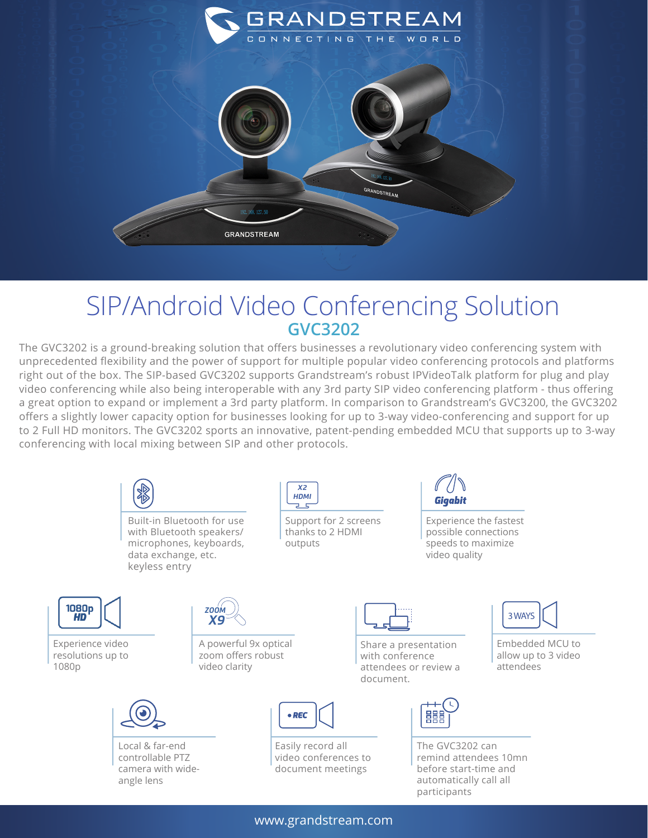

## SIP/Android Video Conferencing Solution **GVC3202**

The GVC3202 is a ground-breaking solution that offers businesses a revolutionary video conferencing system with unprecedented flexibility and the power of support for multiple popular video conferencing protocols and platforms right out of the box. The SIP-based GVC3202 supports Grandstream's robust IPVideoTalk platform for plug and play video conferencing while also being interoperable with any 3rd party SIP video conferencing platform - thus offering a great option to expand or implement a 3rd party platform. In comparison to Grandstream's GVC3200, the GVC3202 offers a slightly lower capacity option for businesses looking for up to 3-way video-conferencing and support for up to 2 Full HD monitors. The GVC3202 sports an innovative, patent-pending embedded MCU that supports up to 3-way conferencing with local mixing between SIP and other protocols.



www.grandstream.com